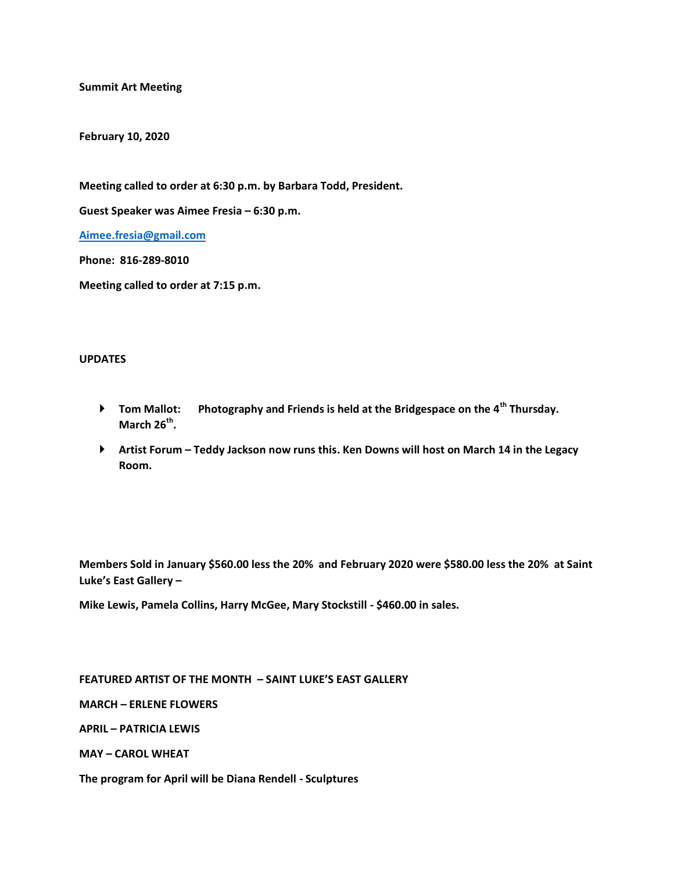**Summit Art Meeting** 

**February 10, 2020**

**Meeting called to order at 6:30 p.m. by Barbara Todd, President.**

**Guest Speaker was Aimee Fresia – 6:30 p.m.**

**[Aimee.fresia@gmail.com](mailto:Aimee.fresia@gmail.com)**

**Phone: 816-289-8010**

**Meeting called to order at 7:15 p.m.**

## **UPDATES**

- **Tom Mallot: Photography and Friends is held at the Bridgespace on the 4th Thursday. March 26th .**
- **Artist Forum – Teddy Jackson now runs this. Ken Downs will host on March 14 in the Legacy Room.**

**Members Sold in January \$560.00 less the 20% and February 2020 were \$580.00 less the 20% at Saint Luke's East Gallery –**

**Mike Lewis, Pamela Collins, Harry McGee, Mary Stockstill - \$460.00 in sales.**

**FEATURED ARTIST OF THE MONTH – SAINT LUKE'S EAST GALLERY**

**MARCH – ERLENE FLOWERS**

**APRIL – PATRICIA LEWIS**

**MAY – CAROL WHEAT**

**The program for April will be Diana Rendell - Sculptures**